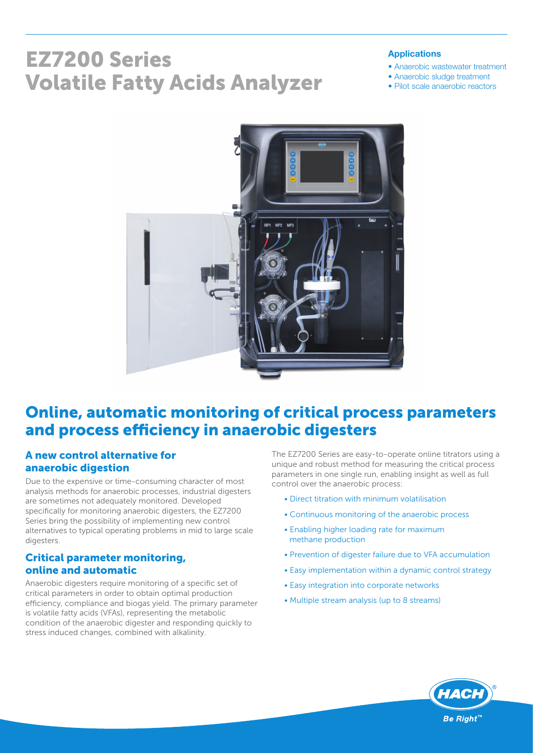# EZ7200 Series Volatile Fatty Acids Analyzer

#### Applications

- Anaerobic wastewater treatment
- Anaerobic sludge treatment
- Pilot scale anaerobic reactors



## Online, automatic monitoring of critical process parameters and process efficiency in anaerobic digesters

#### A new control alternative for anaerobic digestion

Due to the expensive or time-consuming character of most analysis methods for anaerobic processes, industrial digesters are sometimes not adequately monitored. Developed specifically for monitoring anaerobic digesters, the EZ7200 Series bring the possibility of implementing new control alternatives to typical operating problems in mid to large scale digesters.

#### Critical parameter monitoring, online and automatic

Anaerobic digesters require monitoring of a specific set of critical parameters in order to obtain optimal production efficiency, compliance and biogas yield. The primary parameter is volatile fatty acids (VFAs), representing the metabolic condition of the anaerobic digester and responding quickly to stress induced changes, combined with alkalinity.

The EZ7200 Series are easy-to-operate online titrators using a unique and robust method for measuring the critical process parameters in one single run, enabling insight as well as full control over the anaerobic process:

- Direct titration with minimum volatilisation
- Continuous monitoring of the anaerobic process
- Enabling higher loading rate for maximum methane production
- Prevention of digester failure due to VFA accumulation
- Easy implementation within a dynamic control strategy
- Easy integration into corporate networks
- Multiple stream analysis (up to 8 streams)

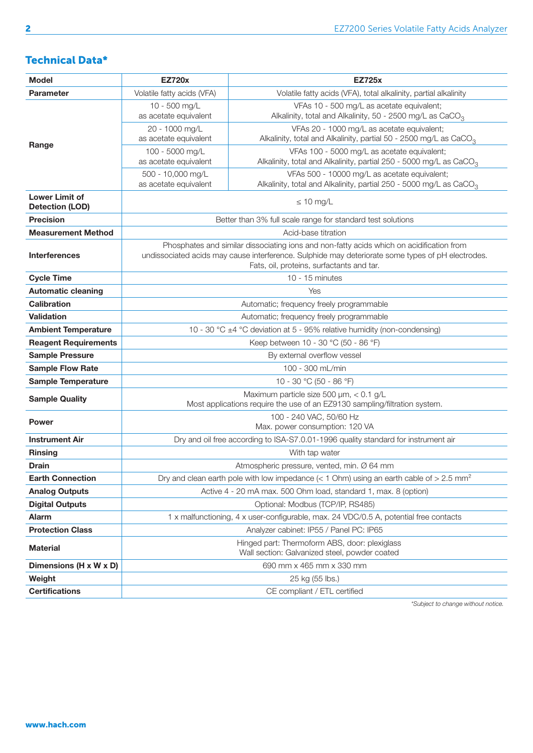#### Technical Data\*

| Model                                           | <b>EZ720x</b>                                                                                                                                                                                                                              | <b>EZ725x</b>                                                                                                                  |  |  |  |  |
|-------------------------------------------------|--------------------------------------------------------------------------------------------------------------------------------------------------------------------------------------------------------------------------------------------|--------------------------------------------------------------------------------------------------------------------------------|--|--|--|--|
| <b>Parameter</b>                                | Volatile fatty acids (VFA)                                                                                                                                                                                                                 | Volatile fatty acids (VFA), total alkalinity, partial alkalinity                                                               |  |  |  |  |
| Range                                           | 10 - 500 mg/L<br>as acetate equivalent                                                                                                                                                                                                     | VFAs 10 - 500 mg/L as acetate equivalent;<br>Alkalinity, total and Alkalinity, 50 - 2500 mg/L as CaCO <sub>3</sub>             |  |  |  |  |
|                                                 | 20 - 1000 mg/L<br>as acetate equivalent                                                                                                                                                                                                    | VFAs 20 - 1000 mg/L as acetate equivalent;<br>Alkalinity, total and Alkalinity, partial 50 - 2500 mg/L as CaCO <sub>3</sub>    |  |  |  |  |
|                                                 | 100 - 5000 mg/L<br>as acetate equivalent                                                                                                                                                                                                   | VFAs 100 - 5000 mg/L as acetate equivalent;<br>Alkalinity, total and Alkalinity, partial 250 - 5000 mg/L as CaCO <sub>3</sub>  |  |  |  |  |
|                                                 | 500 - 10,000 mg/L<br>as acetate equivalent                                                                                                                                                                                                 | VFAs 500 - 10000 mg/L as acetate equivalent;<br>Alkalinity, total and Alkalinity, partial 250 - 5000 mg/L as CaCO <sub>3</sub> |  |  |  |  |
| <b>Lower Limit of</b><br><b>Detection (LOD)</b> | $\leq 10$ mg/L                                                                                                                                                                                                                             |                                                                                                                                |  |  |  |  |
| <b>Precision</b>                                | Better than 3% full scale range for standard test solutions                                                                                                                                                                                |                                                                                                                                |  |  |  |  |
| <b>Measurement Method</b>                       | Acid-base titration                                                                                                                                                                                                                        |                                                                                                                                |  |  |  |  |
| <b>Interferences</b>                            | Phosphates and similar dissociating ions and non-fatty acids which on acidification from<br>undissociated acids may cause interference. Sulphide may deteriorate some types of pH electrodes.<br>Fats, oil, proteins, surfactants and tar. |                                                                                                                                |  |  |  |  |
| <b>Cycle Time</b>                               | 10 - 15 minutes                                                                                                                                                                                                                            |                                                                                                                                |  |  |  |  |
| <b>Automatic cleaning</b>                       | Yes                                                                                                                                                                                                                                        |                                                                                                                                |  |  |  |  |
| <b>Calibration</b>                              | Automatic; frequency freely programmable                                                                                                                                                                                                   |                                                                                                                                |  |  |  |  |
| Validation                                      | Automatic; frequency freely programmable                                                                                                                                                                                                   |                                                                                                                                |  |  |  |  |
| <b>Ambient Temperature</b>                      | 10 - 30 °C $\pm$ 4 °C deviation at 5 - 95% relative humidity (non-condensing)                                                                                                                                                              |                                                                                                                                |  |  |  |  |
| <b>Reagent Requirements</b>                     | Keep between 10 - 30 °C (50 - 86 °F)                                                                                                                                                                                                       |                                                                                                                                |  |  |  |  |
| <b>Sample Pressure</b>                          | By external overflow vessel                                                                                                                                                                                                                |                                                                                                                                |  |  |  |  |
| <b>Sample Flow Rate</b>                         | 100 - 300 mL/min                                                                                                                                                                                                                           |                                                                                                                                |  |  |  |  |
| <b>Sample Temperature</b>                       | 10 - 30 °C (50 - 86 °F)                                                                                                                                                                                                                    |                                                                                                                                |  |  |  |  |
| <b>Sample Quality</b>                           | Maximum particle size 500 µm, < 0.1 g/L<br>Most applications require the use of an EZ9130 sampling/filtration system.                                                                                                                      |                                                                                                                                |  |  |  |  |
| <b>Power</b>                                    | 100 - 240 VAC, 50/60 Hz<br>Max. power consumption: 120 VA                                                                                                                                                                                  |                                                                                                                                |  |  |  |  |
| <b>Instrument Air</b>                           |                                                                                                                                                                                                                                            | Dry and oil free according to ISA-S7.0.01-1996 quality standard for instrument air                                             |  |  |  |  |
| Rinsing                                         |                                                                                                                                                                                                                                            | With tap water                                                                                                                 |  |  |  |  |
| <b>Drain</b>                                    |                                                                                                                                                                                                                                            | Atmospheric pressure, vented, min. Ø 64 mm                                                                                     |  |  |  |  |
| <b>Earth Connection</b>                         |                                                                                                                                                                                                                                            | Dry and clean earth pole with low impedance (< 1 Ohm) using an earth cable of > 2.5 mm <sup>2</sup>                            |  |  |  |  |
| <b>Analog Outputs</b>                           |                                                                                                                                                                                                                                            | Active 4 - 20 mA max. 500 Ohm load, standard 1, max. 8 (option)                                                                |  |  |  |  |
| <b>Digital Outputs</b>                          | Optional: Modbus (TCP/IP, RS485)                                                                                                                                                                                                           |                                                                                                                                |  |  |  |  |
| Alarm                                           |                                                                                                                                                                                                                                            | 1 x malfunctioning, 4 x user-configurable, max. 24 VDC/0.5 A, potential free contacts                                          |  |  |  |  |
| <b>Protection Class</b>                         |                                                                                                                                                                                                                                            | Analyzer cabinet: IP55 / Panel PC: IP65                                                                                        |  |  |  |  |
| <b>Material</b>                                 |                                                                                                                                                                                                                                            | Hinged part: Thermoform ABS, door: plexiglass<br>Wall section: Galvanized steel, powder coated                                 |  |  |  |  |
| Dimensions (H x W x D)                          |                                                                                                                                                                                                                                            | 690 mm x 465 mm x 330 mm                                                                                                       |  |  |  |  |
| Weight                                          |                                                                                                                                                                                                                                            | 25 kg (55 lbs.)                                                                                                                |  |  |  |  |
| <b>Certifications</b>                           |                                                                                                                                                                                                                                            | CE compliant / ETL certified                                                                                                   |  |  |  |  |

*\*Subject to change without notice.*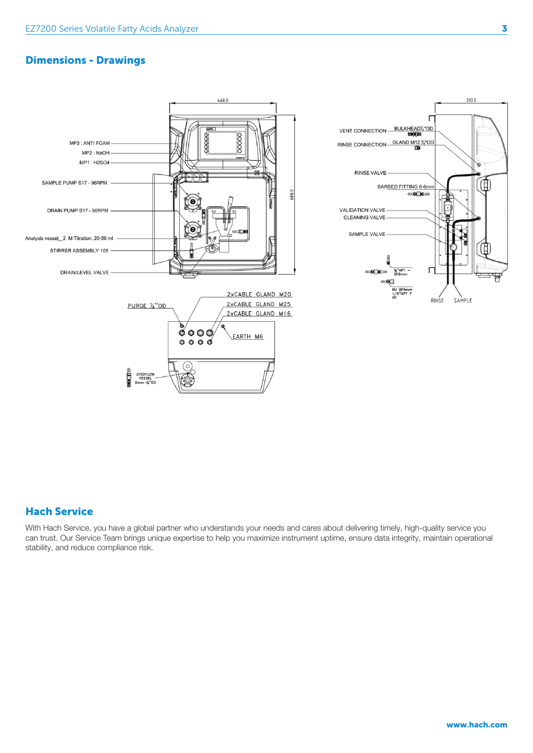### Dimensions - Drawings





#### Hach Service

With Hach Service, you have a global partner who understands your needs and cares about delivering timely, high-quality service you can trust. Our Service Team brings unique expertise to help you maximize instrument uptime, ensure data integrity, maintain operational stability, and reduce compliance risk.